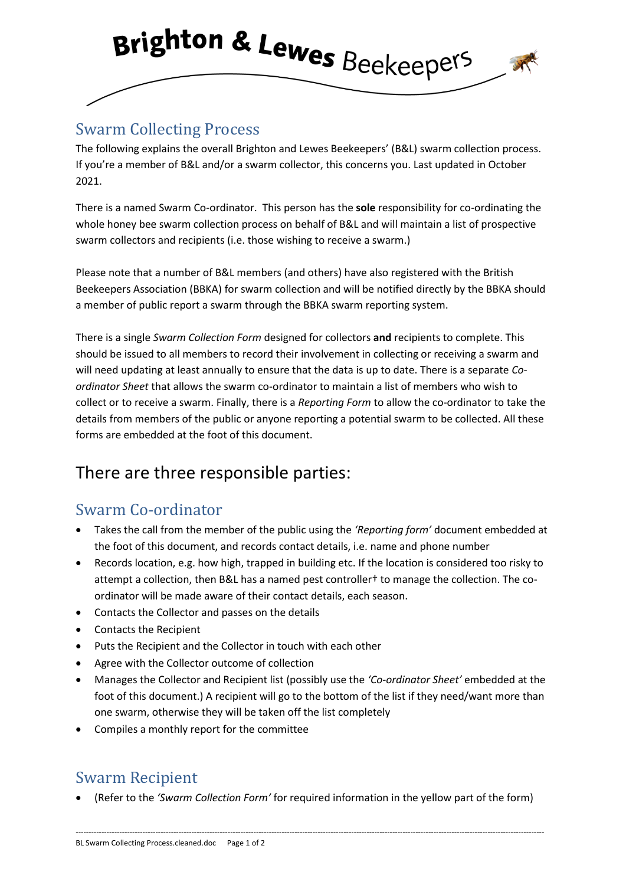

### Swarm Collecting Process

The following explains the overall Brighton and Lewes Beekeepers' (B&L) swarm collection process. If you're a member of B&L and/or a swarm collector, this concerns you. Last updated in October 2021.

There is a named Swarm Co-ordinator. This person has the **sole** responsibility for co-ordinating the whole honey bee swarm collection process on behalf of B&L and will maintain a list of prospective swarm collectors and recipients (i.e. those wishing to receive a swarm.)

Please note that a number of B&L members (and others) have also registered with the British Beekeepers Association (BBKA) for swarm collection and will be notified directly by the BBKA should a member of public report a swarm through the BBKA swarm reporting system.

There is a single *Swarm Collection Form* designed for collectors **and** recipients to complete. This should be issued to all members to record their involvement in collecting or receiving a swarm and will need updating at least annually to ensure that the data is up to date. There is a separate *Coordinator Sheet* that allows the swarm co-ordinator to maintain a list of members who wish to collect or to receive a swarm. Finally, there is a *Reporting Form* to allow the co-ordinator to take the details from members of the public or anyone reporting a potential swarm to be collected. All these forms are embedded at the foot of this document.

# There are three responsible parties:

#### Swarm Co-ordinator

- Takes the call from the member of the public using the *'Reporting form'* document embedded at the foot of this document, and records contact details, i.e. name and phone number
- Records location, e.g. how high, trapped in building etc. If the location is considered too risky to attempt a collection, then B&L has a named pest controller† to manage the collection. The coordinator will be made aware of their contact details, each season.
- Contacts the Collector and passes on the details
- Contacts the Recipient
- Puts the Recipient and the Collector in touch with each other
- Agree with the Collector outcome of collection
- Manages the Collector and Recipient list (possibly use the *'Co-ordinator Sheet'* embedded at the foot of this document.) A recipient will go to the bottom of the list if they need/want more than one swarm, otherwise they will be taken off the list completely
- Compiles a monthly report for the committee

## Swarm Recipient

• (Refer to the *'Swarm Collection Form'* for required information in the yellow part of the form)

--------------------------------------------------------------------------------------------------------------------------------------------------------------------------------------